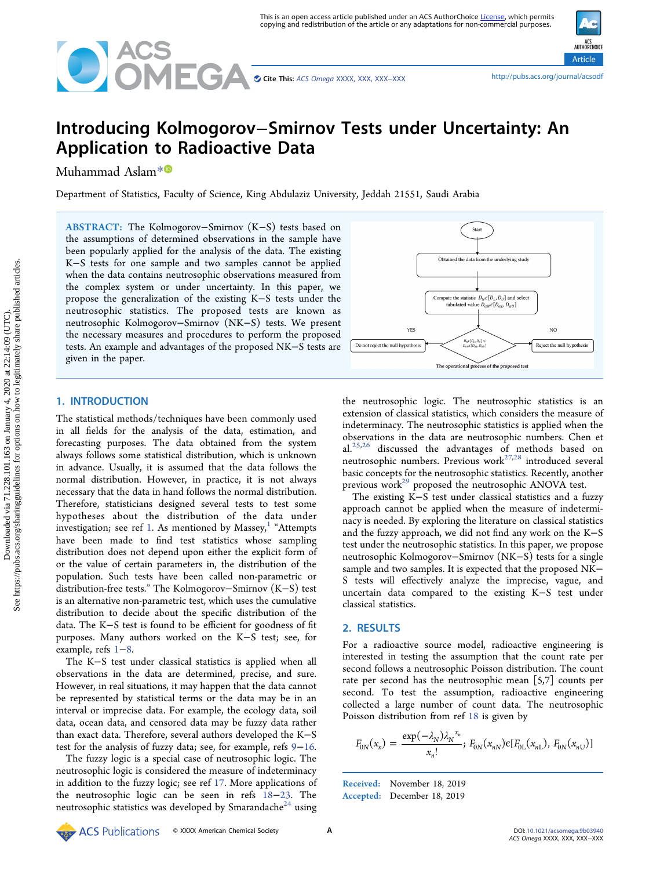

ACS<br>AUTHORCHOICE Article

# Introducing Kolmogorov−Smirnov Tests under Uncertainty: An Application to Radioactive Data

Muhammad Aslam[\\*](#page-2-0)

Department of Statistics, Faculty of Science, King Abdulaziz University, Jeddah 21551, Saudi Arabia

ABSTRACT: The Kolmogorov−Smirnov (K−S) tests based on the assumptions of determined observations in the sample have been popularly applied for the analysis of the data. The existing K−S tests for one sample and two samples cannot be applied when the data contains neutrosophic observations measured from the complex system or under uncertainty. In this paper, we propose the generalization of the existing K−S tests under the neutrosophic statistics. The proposed tests are known as neutrosophic Kolmogorov−Smirnov (NK−S) tests. We present the necessary measures and procedures to perform the proposed tests. An example and advantages of the proposed NK−S tests are given in the paper.



# 1. INTRODUCTION

The statistical methods/techniques have been commonly used in all fields for the analysis of the data, estimation, and forecasting purposes. The data obtained from the system always follows some statistical distribution, which is unknown in advance. Usually, it is assumed that the data follows the normal distribution. However, in practice, it is not always necessary that the data in hand follows the normal distribution. Therefore, statisticians designed several tests to test some hypotheses about the distribution of the data under investigation; see ref [1.](#page-2-0) As mentioned by Massey, $1$  "Attempts have been made to find test statistics whose sampling distribution does not depend upon either the explicit form of or the value of certain parameters in, the distribution of the population. Such tests have been called non-parametric or distribution-free tests." The Kolmogorov−Smirnov (K−S) test is an alternative non-parametric test, which uses the cumulative distribution to decide about the specific distribution of the data. The K−S test is found to be efficient for goodness of fit purposes. Many authors worked on the K−S test; see, for example, refs [1](#page-2-0)−[8](#page-3-0).

The K−S test under classical statistics is applied when all observations in the data are determined, precise, and sure. However, in real situations, it may happen that the data cannot be represented by statistical terms or the data may be in an interval or imprecise data. For example, the ecology data, soil data, ocean data, and censored data may be fuzzy data rather than exact data. Therefore, several authors developed the K−S test for the analysis of fuzzy data; see, for example, refs [9](#page-3-0)−[16](#page-3-0).

The fuzzy logic is a special case of neutrosophic logic. The neutrosophic logic is considered the measure of indeterminacy in addition to the fuzzy logic; see ref [17.](#page-3-0) More applications of the neutrosophic logic can be seen in refs [18](#page-3-0)−[23.](#page-3-0) The neutrosophic statistics was developed by Smarandache<sup>24</sup> using

the neutrosophic logic. The neutrosophic statistics is an extension of classical statistics, which considers the measure of indeterminacy. The neutrosophic statistics is applied when the observations in the data are neutrosophic numbers. Chen et al. $^{25,26}$  $^{25,26}$  $^{25,26}$  discussed the advantages of methods based on neutrosophic numbers. Previous work<sup>[27,28](#page-3-0)</sup> introduced several basic concepts for the neutrosophic statistics. Recently, another previous work<sup>29</sup> proposed the neutrosophic ANOVA test.

The existing K−S test under classical statistics and a fuzzy approach cannot be applied when the measure of indeterminacy is needed. By exploring the literature on classical statistics and the fuzzy approach, we did not find any work on the K−S test under the neutrosophic statistics. In this paper, we propose neutrosophic Kolmogorov−Smirnov (NK−S) tests for a single sample and two samples. It is expected that the proposed NK− S tests will effectively analyze the imprecise, vague, and uncertain data compared to the existing K−S test under classical statistics.

## 2. RESULTS

For a radioactive source model, radioactive engineering is interested in testing the assumption that the count rate per second follows a neutrosophic Poisson distribution. The count rate per second has the neutrosophic mean [5,7] counts per second. To test the assumption, radioactive engineering collected a large number of count data. The neutrosophic Poisson distribution from ref [18](#page-3-0) is given by

$$
F_{0N}(x_n) = \frac{\exp(-\lambda_N)\lambda_N^{x_n}}{x_n!}; \ F_{0N}(x_{nN}) \in [F_{0L}(x_{nL}), \ F_{0N}(x_{nU})]
$$

Received: November 18, 2019 Accepted: December 18, 2019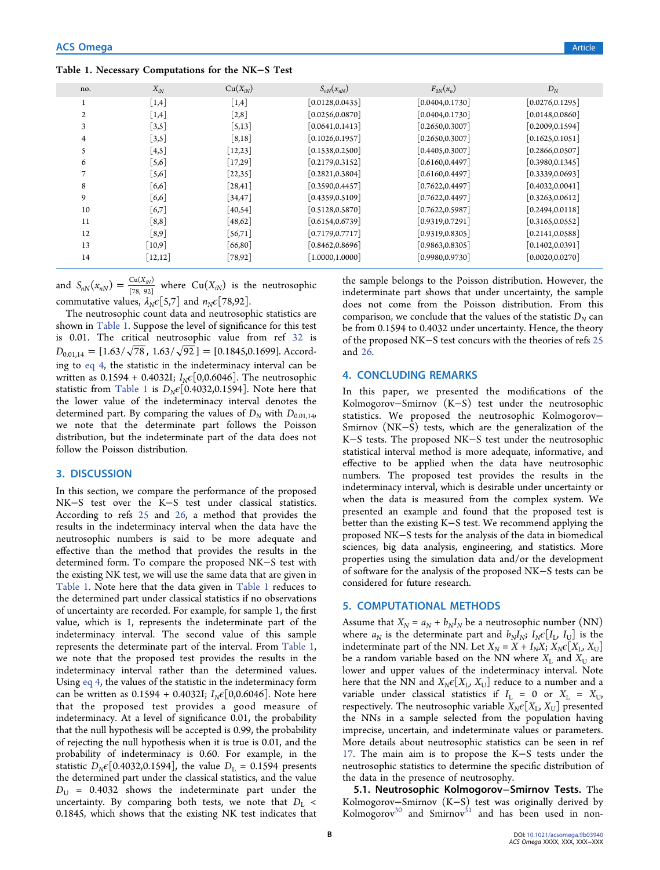## Table 1. Necessary Computations for the NK−S Test

| no. | $X_{iN}$               | $Cu(X_{iN})$                    | $S_{nN}(x_{nN})$ | $F_{0N}(x_n)$    | $D_N$            |
|-----|------------------------|---------------------------------|------------------|------------------|------------------|
|     | $\lceil 1,4 \rceil$    | $\lceil 1,4 \rceil$             | [0.0128, 0.0435] | [0.0404, 0.1730] | [0.0276, 0.1295] |
|     | $\lceil 1,4 \rceil$    | $\lceil 2, 8 \rceil$            | [0.0256, 0.0870] | [0.0404, 0.1730] | [0.0148, 0.0860] |
|     | $\left[3,5\right]$     | $\left[5,13\right]$             | [0.0641, 0.1413] | [0.2650, 0.3007] | [0.2009, 0.1594] |
|     | $\left[3,5\right]$     | $\lceil 8, 18 \rceil$           | [0.1026, 0.1957] | [0.2650, 0.3007] | [0.1625, 0.1051] |
| S.  | [4,5]                  | $[12,23]$                       | [0.1538, 0.2500] | [0.4405, 0.3007] | [0.2866, 0.0507] |
| 6   | $\lceil 5, 6 \rceil$   | $[17,29]$                       | [0.2179, 0.3152] | [0.6160, 0.4497] | [0.3980, 0.1345] |
|     | $\left[5,6\right]$     | $[22,35]$                       | [0.2821, 0.3804] | [0.6160, 0.4497] | [0.3339, 0.0693] |
| 8   | [6,6]                  | $\left\lceil 28,41\right\rceil$ | [0.3590, 0.4457] | [0.7622, 0.4497] | [0.4032, 0.0041] |
| 9   | [6,6]                  | $[34, 47]$                      | [0.4359, 0.5109] | [0.7622, 0.4497] | [0.3263, 0.0612] |
| 10  | [6,7]                  | $[40,54]$                       | [0.5128, 0.5870] | [0.7622, 0.5987] | [0.2494, 0.0118] |
| 11  | [8,8]                  | $[48,62]$                       | [0.6154, 0.6739] | [0.9319, 0.7291] | [0.3165, 0.0552] |
| 12  | [8,9]                  | $[56,71]$                       | [0.7179, 0.7717] | [0.9319, 0.8305] | [0.2141, 0.0588] |
| 13  | $\lceil 10, 9 \rceil$  | [66, 80]                        | [0.8462, 0.8696] | [0.9863, 0.8305] | [0.1402, 0.0391] |
| 14  | $\lceil 12, 12 \rceil$ | [78, 92]                        | [1.0000, 1.0000] | [0.9980, 0.9730] | [0.0020, 0.0270] |

and  $S_{nN}(x_{nN}) = \frac{C u(X_{iN})}{[78, 92]}$  $=\frac{C_{\text{u}}(X_{iN})}{[78, 92]}$  where  $Cu(X_{iN})$  is the neutrosophic commutative values,  $\lambda_N \epsilon$ [5,7] and  $n_N \epsilon$ [78,92].

The neutrosophic count data and neutrosophic statistics are shown in Table 1. Suppose the level of significance for this test is 0.01. The critical neutrosophic value from ref [32](#page-3-0) is  $D_{0.01,14} = [1.63/\sqrt{78}, 1.63/\sqrt{92}] = [0.1845,0.1699]$ . According to [eq 4,](#page-2-0) the statistic in the indeterminacy interval can be written as 0.1594 + 0.4032I;  $I_{N} \epsilon [0, 0.6046]$ . The neutrosophic statistic from Table 1 is  $D_N \epsilon [0.4032, 0.1594]$ . Note here that the lower value of the indeterminacy interval denotes the determined part. By comparing the values of  $D_N$  with  $D_{0.01,14}$ , we note that the determinate part follows the Poisson distribution, but the indeterminate part of the data does not follow the Poisson distribution.

## 3. DISCUSSION

In this section, we compare the performance of the proposed NK−S test over the K−S test under classical statistics. According to refs [25](#page-3-0) and [26,](#page-3-0) a method that provides the results in the indeterminacy interval when the data have the neutrosophic numbers is said to be more adequate and effective than the method that provides the results in the determined form. To compare the proposed NK−S test with the existing NK test, we will use the same data that are given in Table 1. Note here that the data given in Table 1 reduces to the determined part under classical statistics if no observations of uncertainty are recorded. For example, for sample 1, the first value, which is 1, represents the indeterminate part of the indeterminacy interval. The second value of this sample represents the determinate part of the interval. From Table 1, we note that the proposed test provides the results in the indeterminacy interval rather than the determined values. Using [eq 4](#page-2-0), the values of the statistic in the indeterminacy form can be written as 0.1594 + 0.4032I;  $I_N \epsilon [0, 0.6046]$ . Note here that the proposed test provides a good measure of indeterminacy. At a level of significance 0.01, the probability that the null hypothesis will be accepted is 0.99, the probability of rejecting the null hypothesis when it is true is 0.01, and the probability of indeterminacy is 0.60. For example, in the statistic  $D_N \epsilon [0.4032, 0.1594]$ , the value  $D_L = 0.1594$  presents the determined part under the classical statistics, and the value  $D_{\text{U}}$  = 0.4032 shows the indeterminate part under the uncertainty. By comparing both tests, we note that  $D_L$  < 0.1845, which shows that the existing NK test indicates that

the sample belongs to the Poisson distribution. However, the indeterminate part shows that under uncertainty, the sample does not come from the Poisson distribution. From this comparison, we conclude that the values of the statistic  $D<sub>N</sub>$  can be from 0.1594 to 0.4032 under uncertainty. Hence, the theory of the proposed NK−S test concurs with the theories of refs [25](#page-3-0) and [26](#page-3-0).

## 4. CONCLUDING REMARKS

In this paper, we presented the modifications of the Kolmogorov−Smirnov (K−S) test under the neutrosophic statistics. We proposed the neutrosophic Kolmogorov− Smirnov (NK−S) tests, which are the generalization of the K−S tests. The proposed NK−S test under the neutrosophic statistical interval method is more adequate, informative, and effective to be applied when the data have neutrosophic numbers. The proposed test provides the results in the indeterminacy interval, which is desirable under uncertainty or when the data is measured from the complex system. We presented an example and found that the proposed test is better than the existing K−S test. We recommend applying the proposed NK−S tests for the analysis of the data in biomedical sciences, big data analysis, engineering, and statistics. More properties using the simulation data and/or the development of software for the analysis of the proposed NK−S tests can be considered for future research.

## 5. COMPUTATIONAL METHODS

Assume that  $X_N = a_N + b_N I_N$  be a neutrosophic number (NN) where  $a_N$  is the determinate part and  $b_N I_N$ ;  $I_N \epsilon [I_L, I_U]$  is the indeterminate part of the NN. Let  $X_N = X + I_N X$ ;  $X_N \in [X_L, X_U]$ be a random variable based on the NN where  $X_L$  and  $X_U$  are lower and upper values of the indeterminacy interval. Note here that the NN and  $X_N \epsilon [X_L, X_U]$  reduce to a number and a variable under classical statistics if  $I_L = 0$  or  $X_L = X_U$ , respectively. The neutrosophic variable  $X_N \epsilon [X_L, X_U]$  presented the NNs in a sample selected from the population having imprecise, uncertain, and indeterminate values or parameters. More details about neutrosophic statistics can be seen in ref [17](#page-3-0). The main aim is to propose the K−S tests under the neutrosophic statistics to determine the specific distribution of the data in the presence of neutrosophy.

5.1. Neutrosophic Kolmogorov−Smirnov Tests. The Kolmogorov−Smirnov (K−S) test was originally derived by Kolmogorov $30$  and Smirnov $31$  and has been used in non-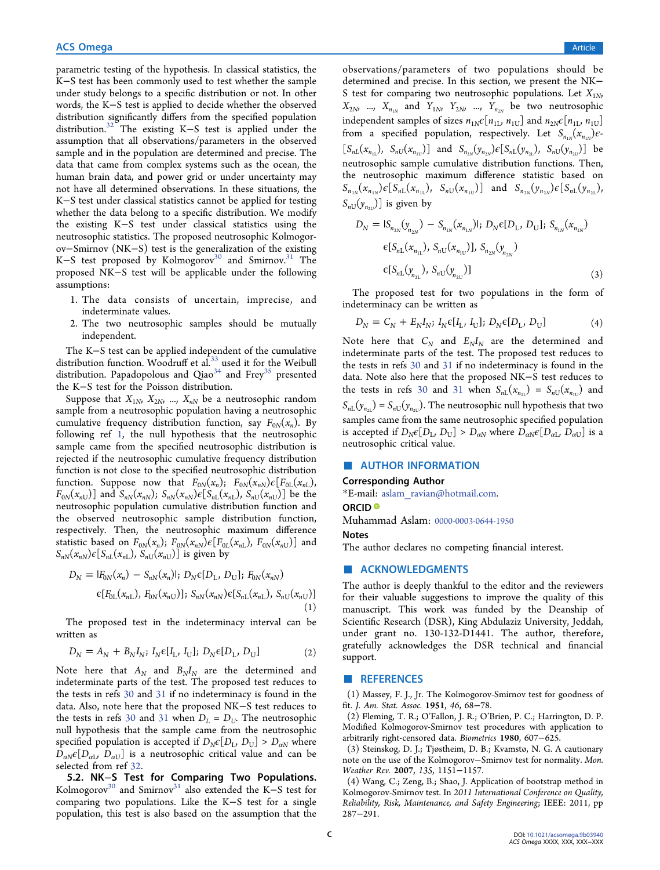<span id="page-2-0"></span>parametric testing of the hypothesis. In classical statistics, the K−S test has been commonly used to test whether the sample under study belongs to a specific distribution or not. In other words, the K−S test is applied to decide whether the observed distribution significantly differs from the specified population distribution.[32](#page-3-0) The existing K−S test is applied under the assumption that all observations/parameters in the observed sample and in the population are determined and precise. The data that came from complex systems such as the ocean, the human brain data, and power grid or under uncertainty may not have all determined observations. In these situations, the K−S test under classical statistics cannot be applied for testing whether the data belong to a specific distribution. We modify the existing K−S test under classical statistics using the neutrosophic statistics. The proposed neutrosophic Kolmogorov−Smirnov (NK−S) test is the generalization of the existing K–S test proposed by Kolmogorov<sup>30</sup> and Smirnov.<sup>[31](#page-3-0)</sup> The proposed NK−S test will be applicable under the following assumptions:

- 1. The data consists of uncertain, imprecise, and indeterminate values.
- 2. The two neutrosophic samples should be mutually independent.

The K−S test can be applied independent of the cumulative distribution function. Woodruff et al. $33$  used it for the Weibull distribution. Papadopolous and Qiao $34$  and Frey $35$  presented the K−S test for the Poisson distribution.

Suppose that  $X_{1N}$ ,  $X_{2N}$ , ...,  $X_{nN}$  be a neutrosophic random sample from a neutrosophic population having a neutrosophic cumulative frequency distribution function, say  $F_{0N}(x_n)$ . By following ref 1, the null hypothesis that the neutrosophic sample came from the specified neutrosophic distribution is rejected if the neutrosophic cumulative frequency distribution function is not close to the specified neutrosophic distribution function. Suppose now that  $F_{0N}(x_n)$ ;  $F_{0N}(x_{nN})\epsilon[F_{0L}(x_{nL}),$  $F_{0N}(x_{nU})$  and  $S_{nN}(x_{nN})$ ;  $S_{nN}(x_{nN})\epsilon[S_{nL}(x_{nL}), S_{nU}(x_{nU})]$  be the neutrosophic population cumulative distribution function and the observed neutrosophic sample distribution function, respectively. Then, the neutrosophic maximum difference statistic based on  $F_{0N}(x_n)$ ;  $F_{0N}(x_{nN})\epsilon[F_{0L}(x_{nL}), F_{0N}(x_{nU})]$  and  $S_{nN}(x_{nN})\epsilon[S_{nL}(x_{nL}), S_{nU}(x_{nU})]$  is given by

$$
D_N = |F_{0N}(x_n) - S_{nN}(x_n)|; D_N \in [D_L, D_U]; F_{0N}(x_{nN})
$$
  
\n
$$
\in [F_{0L}(x_{nL}), F_{0N}(x_{nU})]; S_{nN}(x_{nN}) \in [S_{nL}(x_{nL}), S_{nU}(x_{nU})]
$$
  
\n(1)

The proposed test in the indeterminacy interval can be written as

$$
D_N = A_N + B_N I_N; I_N \in [I_L, I_U]; D_N \in [D_L, D_U]
$$
 (2)

Note here that  $A_N$  and  $B_N I_N$  are the determined and indeterminate parts of the test. The proposed test reduces to the tests in refs [30](#page-3-0) and [31](#page-3-0) if no indeterminacy is found in the data. Also, note here that the proposed NK−S test reduces to the tests in refs [30](#page-3-0) and [31](#page-3-0) when  $D_L = D_U$ . The neutrosophic null hypothesis that the sample came from the neutrosophic specified population is accepted if  $D_N \epsilon [D_L, D_U] > D_{\alpha N}$  where  $D_{aN} \epsilon [D_{aI}, D_{aI}]$  is a neutrosophic critical value and can be selected from ref [32.](#page-3-0)

5.2. NK−S Test for Comparing Two Populations. Kolmogorov<sup>30</sup> and Smirnov<sup>[31](#page-3-0)</sup> also extended the K–S test for comparing two populations. Like the K−S test for a single population, this test is also based on the assumption that the

observations/parameters of two populations should be determined and precise. In this section, we present the NK− S test for comparing two neutrosophic populations. Let  $X_{1N}$ ,  $X_{2N}$ , ...,  $X_{n_{1N}}$  and  $Y_{1N}$ ,  $Y_{2N}$ , ...,  $Y_{n_{2N}}$  be two neutrosophic independent samples of sizes  $n_{1N}\epsilon[n_{1L}, n_{1U}]$  and  $n_{2N}\epsilon[n_{1L}, n_{1U}]$ from a specified population, respectively. Let  $S_{n_{1N}}(x_{n_{1N}})e$ - $[S_{nL}(x_{n_{1L}}), S_{nU}(x_{n_{1U}})]$  and  $S_{n_{2N}}(y_{n_{2N}}) \in [S_{nL}(y_{n_{2L}}), S_{nU}(y_{n_{2U}})]$  be neutrosophic sample cumulative distribution functions. Then, the neutrosophic maximum difference statistic based on  $S_{n_{1N}}(x_{n_{1N}})\epsilon[S_{nL}(x_{n_{1L}}), S_{nU}(x_{n_{1U}})]$  and  $S_{n_{2N}}(y_{n_{2N}})\epsilon[S_{nL}(y_{n_{2L}}),$  $S_{nU}(y_{n<sub>2U</sub>})$ ] is given by

$$
D_N = |S_{n_{2N}}(y_{n_{2N}}) - S_{n_{1N}}(x_{n_{1N}})|; D_N \in [D_L, D_U]; S_{n_{1N}}(x_{n_{1N}})
$$
  

$$
\in [S_{nL}(x_{n_{1L}}), S_{nU}(x_{n_{1U}})], S_{n_{2N}}(y_{n_{2N}})
$$
  

$$
\in [S_{nL}(y_{n_{2L}}), S_{nU}(y_{n_{2U}})]
$$
 (3)

The proposed test for two populations in the form of indeterminacy can be written as

$$
D_N = C_N + E_N I_N; I_N \in [I_L, I_U]; D_N \in [D_L, D_U]
$$
 (4)

Note here that  $C_N$  and  $E_N I_N$  are the determined and indeterminate parts of the test. The proposed test reduces to the tests in refs [30](#page-3-0) and [31](#page-3-0) if no indeterminacy is found in the data. Note also here that the proposed NK−S test reduces to the tests in refs [30](#page-3-0) and [31](#page-3-0) when  $S_{nL}(x_{n_{1L}}) = S_{nU}(x_{n_{1U}})$  and  $S_{nL}(y_{n_{2L}}) = S_{nU}(y_{n_{2U}})$ . The neutrosophic null hypothesis that two samples came from the same neutrosophic specified population is accepted if  $D_N \epsilon [D_L, D_U] > D_{aN}$  where  $D_{aN} \epsilon [D_{aL}, D_{aU}]$  is a neutrosophic critical value.

#### **AUTHOR INFORMATION**

#### Corresponding Author

\*E-mail: [aslam\\_ravian@hotmail.com](mailto:aslam_ravian@hotmail.com).

## ORCID<sup>®</sup>

Muhammad Aslam: [0000-0003-0644-1950](http://orcid.org/0000-0003-0644-1950)

#### **Notes**

The author declares no competing financial interest.

### ■ ACKNOWLEDGMENTS

The author is deeply thankful to the editor and the reviewers for their valuable suggestions to improve the quality of this manuscript. This work was funded by the Deanship of Scientific Research (DSR), King Abdulaziz University, Jeddah, under grant no. 130-132-D1441. The author, therefore, gratefully acknowledges the DSR technical and financial support.

#### ■ REFERENCES

(1) Massey, F. J., Jr. The Kolmogorov-Smirnov test for goodness of fit. J. Am. Stat. Assoc. 1951, 46, 68−78.

(2) Fleming, T. R.; O'Fallon, J. R.; O'Brien, P. C.; Harrington, D. P. Modified Kolmogorov-Smirnov test procedures with application to arbitrarily right-censored data. Biometrics 1980, 607−625.

(3) Steinskog, D. J.; Tjøstheim, D. B.; Kvamstø, N. G. A cautionary note on the use of the Kolmogorov−Smirnov test for normality. Mon. Weather Rev. 2007, 135, 1151−1157.

(4) Wang, C.; Zeng, B.; Shao, J. Application of bootstrap method in Kolmogorov-Smirnov test. In 2011 International Conference on Quality, Reliability, Risk, Maintenance, and Safety Engineering; IEEE: 2011, pp 287−291.